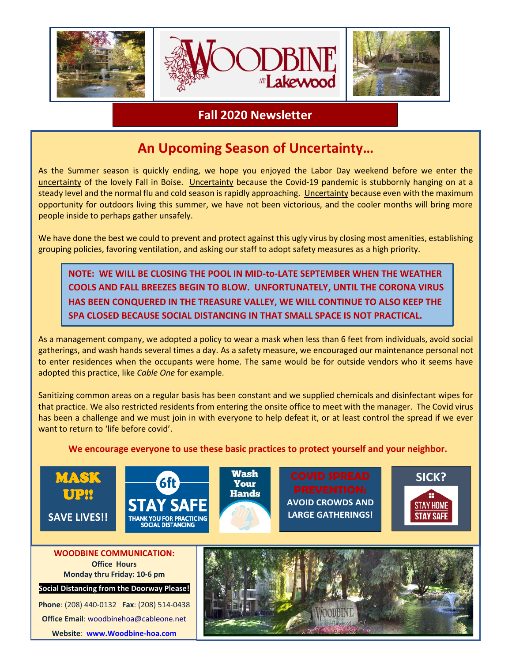

## **Fall 2020 Newsletter**

# **An Upcoming Season of Uncertainty…**

As the Summer season is quickly ending, we hope you enjoyed the Labor Day weekend before we enter the uncertainty of the lovely Fall in Boise. Uncertainty because the Covid-19 pandemic is stubbornly hanging on at a steady level and the normal flu and cold season is rapidly approaching. Uncertainty because even with the maximum opportunity for outdoors living this summer, we have not been victorious, and the cooler months will bring more people inside to perhaps gather unsafely.

We have done the best we could to prevent and protect against this ugly virus by closing most amenities, establishing grouping policies, favoring ventilation, and asking our staff to adopt safety measures as a high priority.

**NOTE: WE WILL BE CLOSING THE POOL IN MID-to-LATE SEPTEMBER WHEN THE WEATHER COOLS AND FALL BREEZES BEGIN TO BLOW. UNFORTUNATELY, UNTIL THE CORONA VIRUS HAS BEEN CONQUERED IN THE TREASURE VALLEY, WE WILL CONTINUE TO ALSO KEEP THE SPA CLOSED BECAUSE SOCIAL DISTANCING IN THAT SMALL SPACE IS NOT PRACTICAL.**

As a management company, we adopted a policy to wear a mask when less than 6 feet from individuals, avoid social gatherings, and wash hands several times a day. As a safety measure, we encouraged our maintenance personal not to enter residences when the occupants were home. The same would be for outside vendors who it seems have adopted this practice, like *Cable One* for example.

Sanitizing common areas on a regular basis has been constant and we supplied chemicals and disinfectant wipes for that practice. We also restricted residents from entering the onsite office to meet with the manager. The Covid virus has been a challenge and we must join in with everyone to help defeat it, or at least control the spread if we ever want to return to 'life before covid'.

#### **We encourage everyone to use these basic practices to protect yourself and your neighbor.**

Wash Your





**Hands AVOID CROWDS AND LARGE GATHERINGS!**



**Office Hours Monday thru Friday: 10-6 pm**

**Social Distancing from the Doorway Please!**

**Phone**: (208) 440-0132 **Fax**: (208) 514-0438 **Office Email**: [woodbinehoa@cableone.net](mailto:woodbinehoa@cableone.net) **Website**: **[www.Woodbine-hoa.com](http://www.woodbine-hoa.com/)**